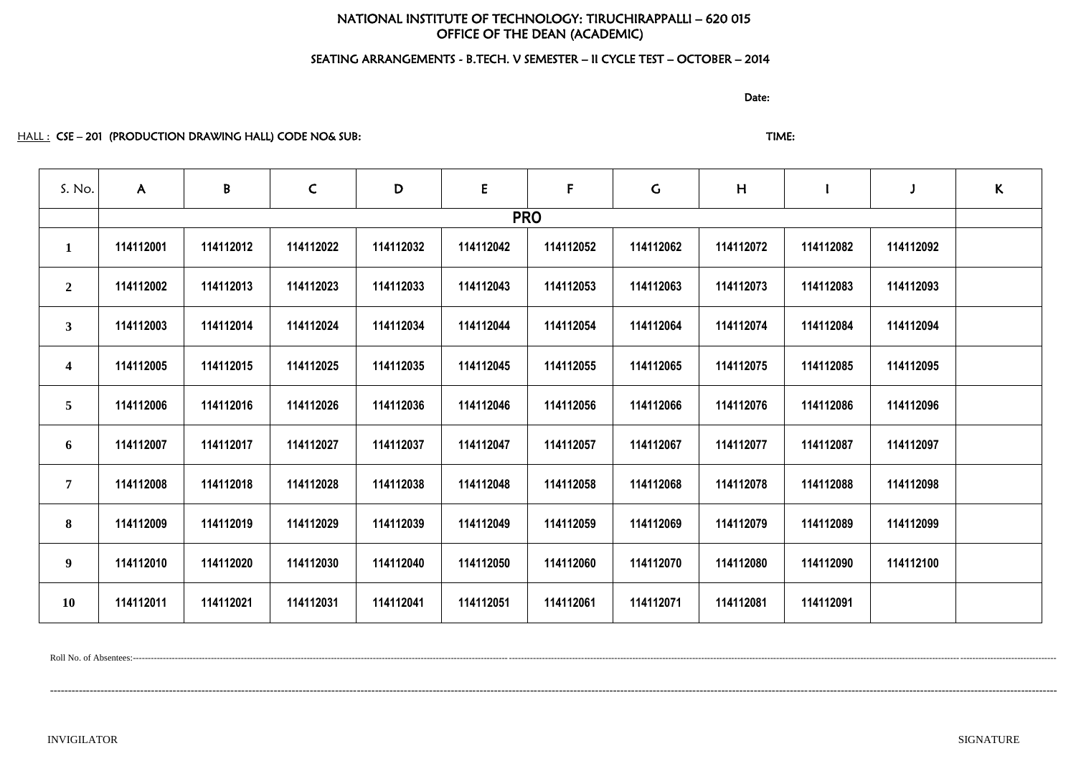# NATIONAL INSTITUTE OF TECHNOLOGY: TIRUCHIRAPPALLI – 620 015 OFFICE OF THE DEAN (ACADEMIC)

# SEATING ARRANGEMENTS - B.TECH. V SEMESTER – II CYCLE TEST – OCTOBER – 2014

discussion of the contract of the contract of the Date:

HALL : CSE – 201 (PRODUCTION DRAWING HALL) CODE NO& SUB: TIME: TIME: TIME:

| S. No.                  | $\mathsf{A}$ | B         | $\mathsf{C}$ | D         | ${\sf E}$ | $\mathsf{F}$ | $\mathsf C$ | H         |           |           | $\kappa$ |
|-------------------------|--------------|-----------|--------------|-----------|-----------|--------------|-------------|-----------|-----------|-----------|----------|
|                         |              |           |              |           |           | <b>PRO</b>   |             |           |           |           |          |
| $\mathbf{1}$            | 114112001    | 114112012 | 114112022    | 114112032 | 114112042 | 114112052    | 114112062   | 114112072 | 114112082 | 114112092 |          |
| $\overline{2}$          | 114112002    | 114112013 | 114112023    | 114112033 | 114112043 | 114112053    | 114112063   | 114112073 | 114112083 | 114112093 |          |
| 3 <sup>1</sup>          | 114112003    | 114112014 | 114112024    | 114112034 | 114112044 | 114112054    | 114112064   | 114112074 | 114112084 | 114112094 |          |
| $\overline{\mathbf{4}}$ | 114112005    | 114112015 | 114112025    | 114112035 | 114112045 | 114112055    | 114112065   | 114112075 | 114112085 | 114112095 |          |
| 5 <sup>5</sup>          | 114112006    | 114112016 | 114112026    | 114112036 | 114112046 | 114112056    | 114112066   | 114112076 | 114112086 | 114112096 |          |
| 6                       | 114112007    | 114112017 | 114112027    | 114112037 | 114112047 | 114112057    | 114112067   | 114112077 | 114112087 | 114112097 |          |
| $7\phantom{.}$          | 114112008    | 114112018 | 114112028    | 114112038 | 114112048 | 114112058    | 114112068   | 114112078 | 114112088 | 114112098 |          |
| 8                       | 114112009    | 114112019 | 114112029    | 114112039 | 114112049 | 114112059    | 114112069   | 114112079 | 114112089 | 114112099 |          |
| 9 <sup>1</sup>          | 114112010    | 114112020 | 114112030    | 114112040 | 114112050 | 114112060    | 114112070   | 114112080 | 114112090 | 114112100 |          |
| <b>10</b>               | 114112011    | 114112021 | 114112031    | 114112041 | 114112051 | 114112061    | 114112071   | 114112081 | 114112091 |           |          |

Roll No. of Absentees:-------------------------------------------------------------------------------------------------------------------------------------------------------------------------------------------------------------------------------------------------------------------------------------------------------------------

---------------------------------------------------------------------------------------------------------------------------------------------------------------------------------------------------------------------------------------------------------------------------------------

INVIGILATOR SIGNATURE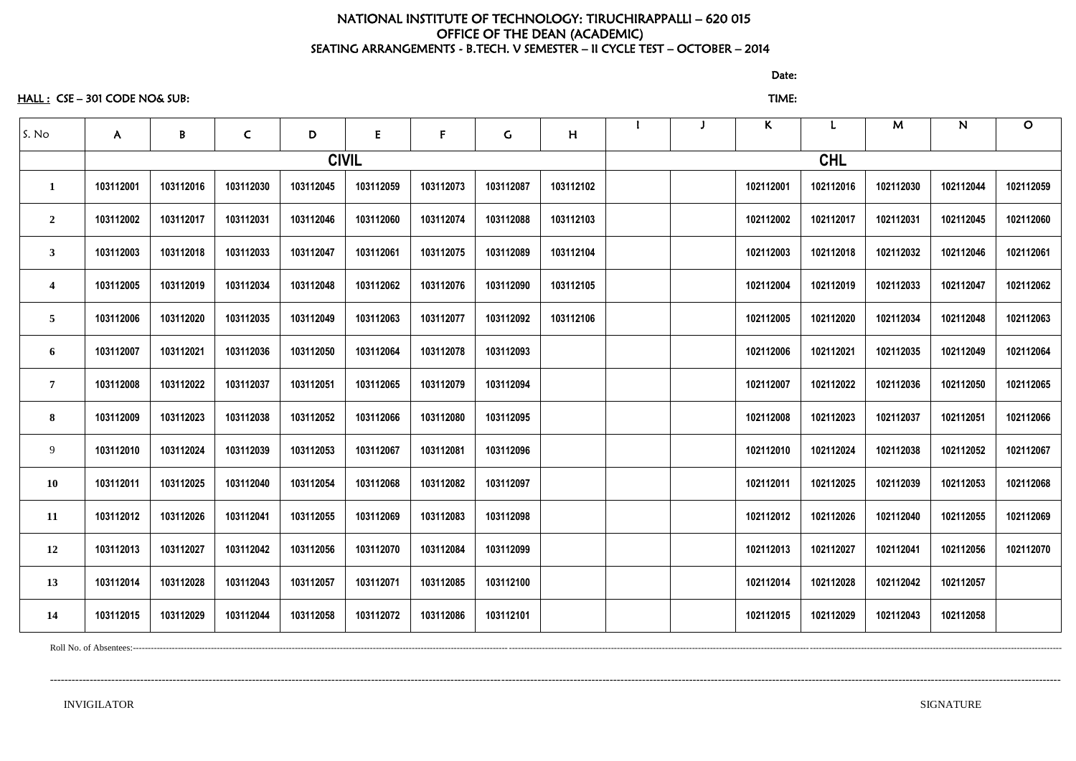# NATIONAL INSTITUTE OF TECHNOLOGY: TIRUCHIRAPPALLI – 620 015 OFFICE OF THE DEAN (ACADEMIC) SEATING ARRANGEMENTS - B.TECH. V SEMESTER – II CYCLE TEST – OCTOBER – 2014

HALL : CSE – 301 CODE NO& SUB: TIME:

discussion of the contract of the contract of the contract of the contract of the contract of the contract of the contract of the contract of the contract of the contract of the contract of the contract of the contract of

| S. No                   | A         | $\, {\bf B} \,$ | $\mathsf{C}$ | D         | E            | $\mathsf{F}$ | $\mathsf C$ | H         |  | $\mathsf{K}$ |           | M         | $\mathsf{N}$ | $\mathbf O$ |
|-------------------------|-----------|-----------------|--------------|-----------|--------------|--------------|-------------|-----------|--|--------------|-----------|-----------|--------------|-------------|
|                         |           |                 |              |           | <b>CIVIL</b> |              |             |           |  |              |           |           |              |             |
|                         | 103112001 | 103112016       | 103112030    | 103112045 | 103112059    | 103112073    | 103112087   | 103112102 |  | 102112001    | 102112016 | 102112030 | 102112044    | 102112059   |
| $\overline{2}$          | 103112002 | 103112017       | 103112031    | 103112046 | 103112060    | 103112074    | 103112088   | 103112103 |  | 102112002    | 102112017 | 102112031 | 102112045    | 102112060   |
| $\mathbf{3}$            | 103112003 | 103112018       | 103112033    | 103112047 | 103112061    | 103112075    | 103112089   | 103112104 |  | 102112003    | 102112018 | 102112032 | 102112046    | 102112061   |
| $\overline{\mathbf{4}}$ | 103112005 | 103112019       | 103112034    | 103112048 | 103112062    | 103112076    | 103112090   | 103112105 |  | 102112004    | 102112019 | 102112033 | 102112047    | 102112062   |
| 5                       | 103112006 | 103112020       | 103112035    | 103112049 | 103112063    | 103112077    | 103112092   | 103112106 |  | 102112005    | 102112020 | 102112034 | 102112048    | 102112063   |
| 6                       | 103112007 | 103112021       | 103112036    | 103112050 | 103112064    | 103112078    | 103112093   |           |  | 102112006    | 102112021 | 102112035 | 102112049    | 102112064   |
| $\overline{7}$          | 103112008 | 103112022       | 103112037    | 103112051 | 103112065    | 103112079    | 103112094   |           |  | 102112007    | 102112022 | 102112036 | 102112050    | 102112065   |
| 8                       | 103112009 | 103112023       | 103112038    | 103112052 | 103112066    | 103112080    | 103112095   |           |  | 102112008    | 102112023 | 102112037 | 102112051    | 102112066   |
| 9                       | 103112010 | 103112024       | 103112039    | 103112053 | 103112067    | 103112081    | 103112096   |           |  | 102112010    | 102112024 | 102112038 | 102112052    | 102112067   |
| <b>10</b>               | 103112011 | 103112025       | 103112040    | 103112054 | 103112068    | 103112082    | 103112097   |           |  | 102112011    | 102112025 | 102112039 | 102112053    | 102112068   |
| 11                      | 103112012 | 103112026       | 103112041    | 103112055 | 103112069    | 103112083    | 103112098   |           |  | 102112012    | 102112026 | 102112040 | 102112055    | 102112069   |
| 12                      | 103112013 | 103112027       | 103112042    | 103112056 | 103112070    | 103112084    | 103112099   |           |  | 102112013    | 102112027 | 102112041 | 102112056    | 102112070   |
| 13                      | 103112014 | 103112028       | 103112043    | 103112057 | 103112071    | 103112085    | 103112100   |           |  | 102112014    | 102112028 | 102112042 | 102112057    |             |
| 14                      | 103112015 | 103112029       | 103112044    | 103112058 | 103112072    | 103112086    | 103112101   |           |  | 102112015    | 102112029 | 102112043 | 102112058    |             |

----------------------------------------------------------------------------------------------------------------------------------------------------------------------------------------------------------------------------------------------------------------------------------------

Roll No. of Absentees:-----------------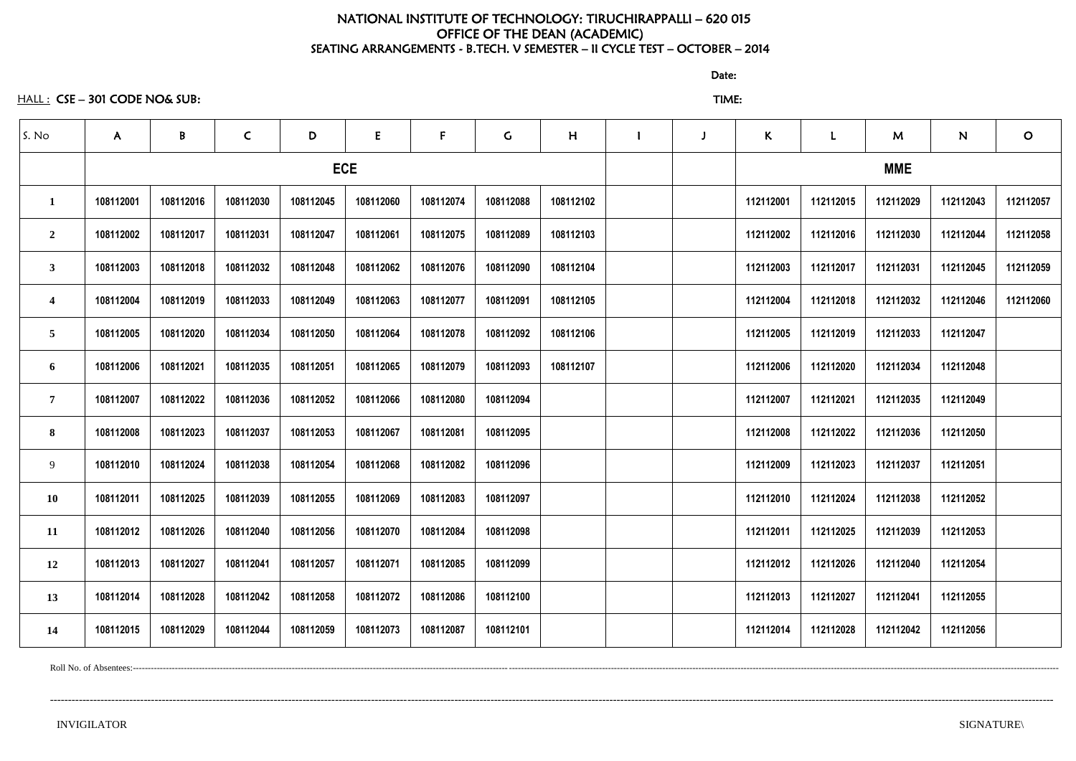# NATIONAL INSTITUTE OF TECHNOLOGY: TIRUCHIRAPPALLI – 620 015 OFFICE OF THE DEAN (ACADEMIC) SEATING ARRANGEMENTS - B.TECH. V SEMESTER – II CYCLE TEST – OCTOBER – 2014

discussion of the contract of the contract of the Date:

HALL : CSE – 301 CODE NO& SUB: TIME:

| S. No            | $\mathsf{A}$ | B          | $\mathsf{C}$ | D         | E         | $\mathsf{F}$ | G         | H         |  | $\mathsf K$ |           | M         | N         | $\mathbf{O}$ |  |  |
|------------------|--------------|------------|--------------|-----------|-----------|--------------|-----------|-----------|--|-------------|-----------|-----------|-----------|--------------|--|--|
|                  |              | <b>ECE</b> |              |           |           |              |           |           |  | <b>MME</b>  |           |           |           |              |  |  |
| $\mathbf 1$      | 108112001    | 108112016  | 108112030    | 108112045 | 108112060 | 108112074    | 108112088 | 108112102 |  | 112112001   | 112112015 | 112112029 | 112112043 | 112112057    |  |  |
| $\overline{2}$   | 108112002    | 108112017  | 108112031    | 108112047 | 108112061 | 108112075    | 108112089 | 108112103 |  | 112112002   | 112112016 | 112112030 | 112112044 | 112112058    |  |  |
| $\mathbf{3}$     | 108112003    | 108112018  | 108112032    | 108112048 | 108112062 | 108112076    | 108112090 | 108112104 |  | 112112003   | 112112017 | 112112031 | 112112045 | 112112059    |  |  |
| $\boldsymbol{4}$ | 108112004    | 108112019  | 108112033    | 108112049 | 108112063 | 108112077    | 108112091 | 108112105 |  | 112112004   | 112112018 | 112112032 | 112112046 | 112112060    |  |  |
| $\overline{5}$   | 108112005    | 108112020  | 108112034    | 108112050 | 108112064 | 108112078    | 108112092 | 108112106 |  | 112112005   | 112112019 | 112112033 | 112112047 |              |  |  |
| 6                | 108112006    | 108112021  | 108112035    | 108112051 | 108112065 | 108112079    | 108112093 | 108112107 |  | 112112006   | 112112020 | 112112034 | 112112048 |              |  |  |
| $\overline{7}$   | 108112007    | 108112022  | 108112036    | 108112052 | 108112066 | 108112080    | 108112094 |           |  | 112112007   | 112112021 | 112112035 | 112112049 |              |  |  |
| 8                | 108112008    | 108112023  | 108112037    | 108112053 | 108112067 | 108112081    | 108112095 |           |  | 112112008   | 112112022 | 112112036 | 112112050 |              |  |  |
| 9                | 108112010    | 108112024  | 108112038    | 108112054 | 108112068 | 108112082    | 108112096 |           |  | 112112009   | 112112023 | 112112037 | 112112051 |              |  |  |
| 10               | 108112011    | 108112025  | 108112039    | 108112055 | 108112069 | 108112083    | 108112097 |           |  | 112112010   | 112112024 | 112112038 | 112112052 |              |  |  |
| 11               | 108112012    | 108112026  | 108112040    | 108112056 | 108112070 | 108112084    | 108112098 |           |  | 112112011   | 112112025 | 112112039 | 112112053 |              |  |  |
| 12               | 108112013    | 108112027  | 108112041    | 108112057 | 108112071 | 108112085    | 108112099 |           |  | 112112012   | 112112026 | 112112040 | 112112054 |              |  |  |
| 13               | 108112014    | 108112028  | 108112042    | 108112058 | 108112072 | 108112086    | 108112100 |           |  | 112112013   | 112112027 | 112112041 | 112112055 |              |  |  |
| 14               | 108112015    | 108112029  | 108112044    | 108112059 | 108112073 | 108112087    | 108112101 |           |  | 112112014   | 112112028 | 112112042 | 112112056 |              |  |  |

Roll No. of Absentees:--------------------------------------------------------------------------------------------------------------------------------------------------------------------------------------------------------------------------------------------------------------------------------------------------------------------

--------------------------------------------------------------------------------------------------------------------------------------------------------------------------------------------------------------------------------------------------------------------------------------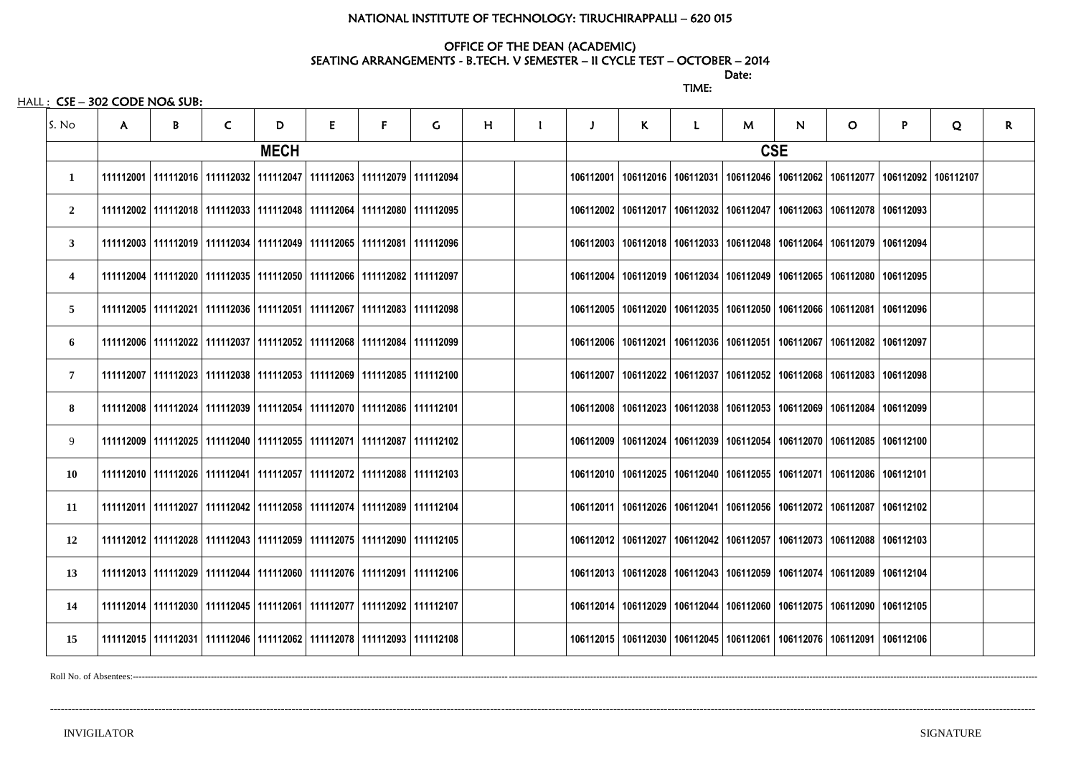## NATIONAL INSTITUTE OF TECHNOLOGY: TIRUCHIRAPPALLI – 620 015

### OFFICE OF THE DEAN (ACADEMIC)

discussion of the contract of the contract of the Date: TIME:

 $HALL:$   $CSE - 302$  CODE NO& SUB:

## SEATING ARRANGEMENTS - B.TECH. V SEMESTER – II CYCLE TEST – OCTOBER – 2014

| S. No          | $\mathsf{A}$ | B | $\mathsf{C}$ | D           | E                                                                                 | F | $\mathsf{G}$ | H | J | $\mathsf{K}$ | $\mathbf{L}$ | M | $\mathsf{N}$ | $\circ$                                                                           | P | Q         | R. |
|----------------|--------------|---|--------------|-------------|-----------------------------------------------------------------------------------|---|--------------|---|---|--------------|--------------|---|--------------|-----------------------------------------------------------------------------------|---|-----------|----|
|                |              |   |              | <b>MECH</b> |                                                                                   |   |              |   |   |              |              |   | <b>CSE</b>   |                                                                                   |   |           |    |
| 1              |              |   |              |             | 111112001   111112016   111112032   111112047   111112063   111112079   111112094 |   |              |   |   |              |              |   |              | 106112001   106112016   106112031   106112046   106112062   106112077   106112092 |   | 106112107 |    |
| $\overline{2}$ |              |   |              |             | 111112002   111112018   111112033   111112048   111112064   111112080   111112095 |   |              |   |   |              |              |   |              | 106112002   106112017   106112032   106112047   106112063   106112078   106112093 |   |           |    |
| $3^{\circ}$    |              |   |              |             | 111112003   111112019   111112034   111112049   111112065   111112081   111112096 |   |              |   |   |              |              |   |              | 106112003   106112018   106112033   106112048   106112064   106112079   106112094 |   |           |    |
| 4              |              |   |              |             | 111112004   111112020   111112035   111112050   111112066   111112082   111112097 |   |              |   |   |              |              |   |              | 106112004   106112019   106112034   106112049   106112065   106112080   106112095 |   |           |    |
| 5 <sup>5</sup> |              |   |              |             | 111112005   111112021   111112036   111112051   111112067   111112083   111112098 |   |              |   |   |              |              |   |              | 106112005   106112020   106112035   106112050   106112066   106112081   106112096 |   |           |    |
| 6              |              |   |              |             | 111112006   111112022   111112037   111112052   111112068   111112084   111112099 |   |              |   |   |              |              |   |              | 106112006   106112021   106112036   106112051   106112067   106112082   106112097 |   |           |    |
| $\overline{7}$ |              |   |              |             | 111112007   111112023   111112038   111112053   111112069   111112085   111112100 |   |              |   |   |              |              |   |              | 106112007   106112022   106112037   106112052   106112068   106112083   106112098 |   |           |    |
| 8              |              |   |              |             | 111112008   111112024   111112039   111112054   111112070   111112086   111112101 |   |              |   |   |              |              |   |              | 106112008   106112023   106112038   106112053   106112069   106112084   106112099 |   |           |    |
| 9              |              |   |              |             | 111112009   111112025   111112040   111112055   111112071   111112087   111112102 |   |              |   |   |              |              |   |              | 106112009   106112024   106112039   106112054   106112070   106112085   106112100 |   |           |    |
| <b>10</b>      |              |   |              |             | 111112010   111112026   111112041   111112057   111112072   111112088   111112103 |   |              |   |   |              |              |   |              | 106112010   106112025   106112040   106112055   106112071   106112086   106112101 |   |           |    |
| 11             |              |   |              |             | 111112011   111112027   111112042   111112058   111112074   111112089   111112104 |   |              |   |   |              |              |   |              | 106112011   106112026   106112041   106112056   106112072   106112087   106112102 |   |           |    |
| 12             |              |   |              |             | 111112012   111112028   111112043   111112059   111112075   111112090   111112105 |   |              |   |   |              |              |   |              | 106112012   106112027   106112042   106112057   106112073   106112088   106112103 |   |           |    |
| 13             |              |   |              |             | 111112013   111112029   111112044   111112060   111112076   111112091   111112106 |   |              |   |   |              |              |   |              | 106112013   106112028   106112043   106112059   106112074   106112089   106112104 |   |           |    |
| 14             |              |   |              |             | 111112014   111112030   111112045   111112061   111112077   111112092   111112107 |   |              |   |   |              |              |   |              | 106112014   106112029   106112044   106112060   106112075   106112090   106112105 |   |           |    |
| 15             |              |   |              |             | 111112015   111112031   111112046   111112062   111112078   111112093   111112108 |   |              |   |   |              |              |   |              | 106112015   106112030   106112045   106112061   106112076   106112091   106112106 |   |           |    |

Roll No. of Absentees:--------------------

---------------------------------------------------------------------------------------------------------------------------------------------------------------------------------------------------------------------------------------------------------------------------------

# 062 | 106112077 | 106112092 | 106112107 063 | 106112078 | 106112093 064 | 106112079 | 106112094 065 | 106112080 | 106112095 066 | 106112081 | 106112096 067 | 106112082 | 106112097 068 | 106112083 | 106112098 069 | 106112084 | 106112099 070 | 106112085 | 106112100 071 | 106112086 | 106112101 072 | 106112087 | 106112102 073 | 106112088 | 106112103 074 | 106112089 | 106112104 075 | 106112090 | 106112105 076 | 106112091 | 106112106